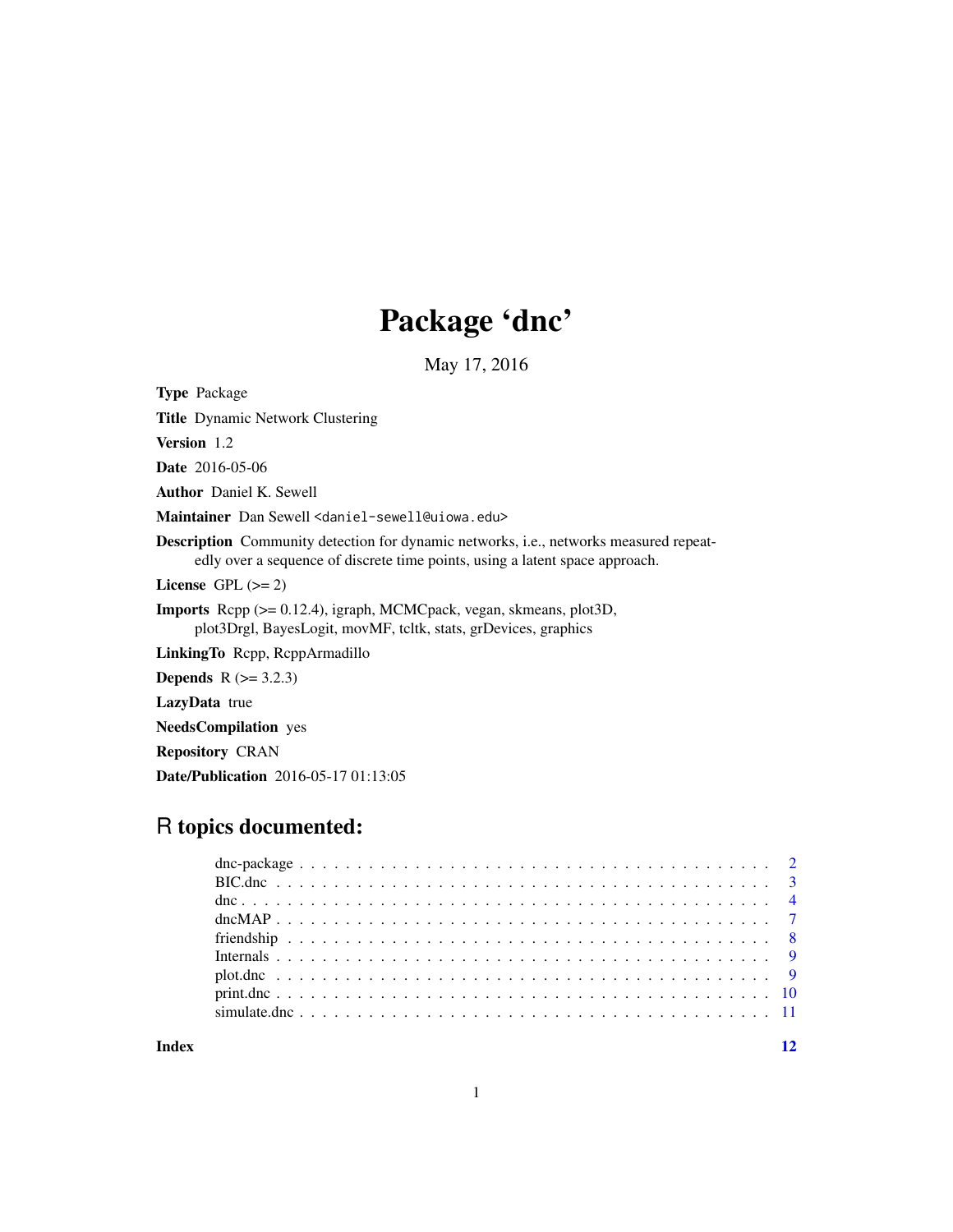## Package 'dnc'

May 17, 2016

Type Package

Title Dynamic Network Clustering

Version 1.2

Date 2016-05-06

Author Daniel K. Sewell

Maintainer Dan Sewell <daniel-sewell@uiowa.edu>

Description Community detection for dynamic networks, i.e., networks measured repeatedly over a sequence of discrete time points, using a latent space approach.

License GPL  $(>= 2)$ 

Imports Rcpp (>= 0.12.4), igraph, MCMCpack, vegan, skmeans, plot3D, plot3Drgl, BayesLogit, movMF, tcltk, stats, grDevices, graphics

LinkingTo Rcpp, RcppArmadillo

**Depends**  $R$  ( $>= 3.2.3$ )

LazyData true

NeedsCompilation yes

Repository CRAN

Date/Publication 2016-05-17 01:13:05

## R topics documented:

**Index** [12](#page-11-0)

1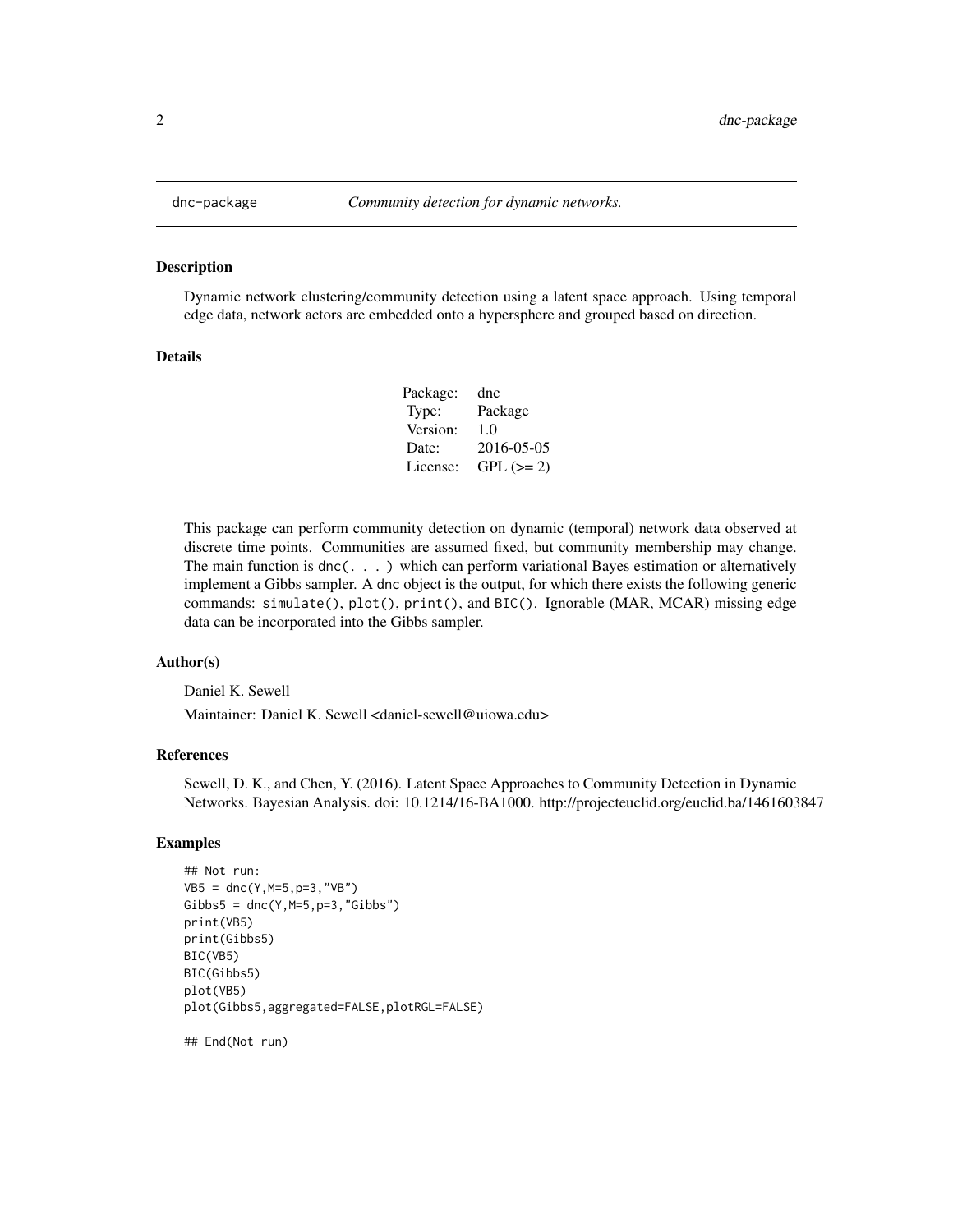#### Description

Dynamic network clustering/community detection using a latent space approach. Using temporal edge data, network actors are embedded onto a hypersphere and grouped based on direction.

#### Details

| Package: | dnc        |
|----------|------------|
| Type:    | Package    |
| Version: | 1.0        |
| Date:    | 2016-05-05 |
| License: | $GPL (=2)$ |

This package can perform community detection on dynamic (temporal) network data observed at discrete time points. Communities are assumed fixed, but community membership may change. The main function is dnc(. . . ) which can perform variational Bayes estimation or alternatively implement a Gibbs sampler. A dnc object is the output, for which there exists the following generic commands: simulate(), plot(), print(), and BIC(). Ignorable (MAR, MCAR) missing edge data can be incorporated into the Gibbs sampler.

#### Author(s)

Daniel K. Sewell

Maintainer: Daniel K. Sewell <daniel-sewell@uiowa.edu>

#### References

Sewell, D. K., and Chen, Y. (2016). Latent Space Approaches to Community Detection in Dynamic Networks. Bayesian Analysis. doi: 10.1214/16-BA1000. http://projecteuclid.org/euclid.ba/1461603847

#### Examples

```
## Not run:
VB5 = dnc(Y,M=5,p=3,"VB")
Gibbs5 = dnc(Y, M=5, p=3, "Gibbs")print(VB5)
print(Gibbs5)
BIC(VB5)
BIC(Gibbs5)
plot(VB5)
plot(Gibbs5,aggregated=FALSE,plotRGL=FALSE)
```
## End(Not run)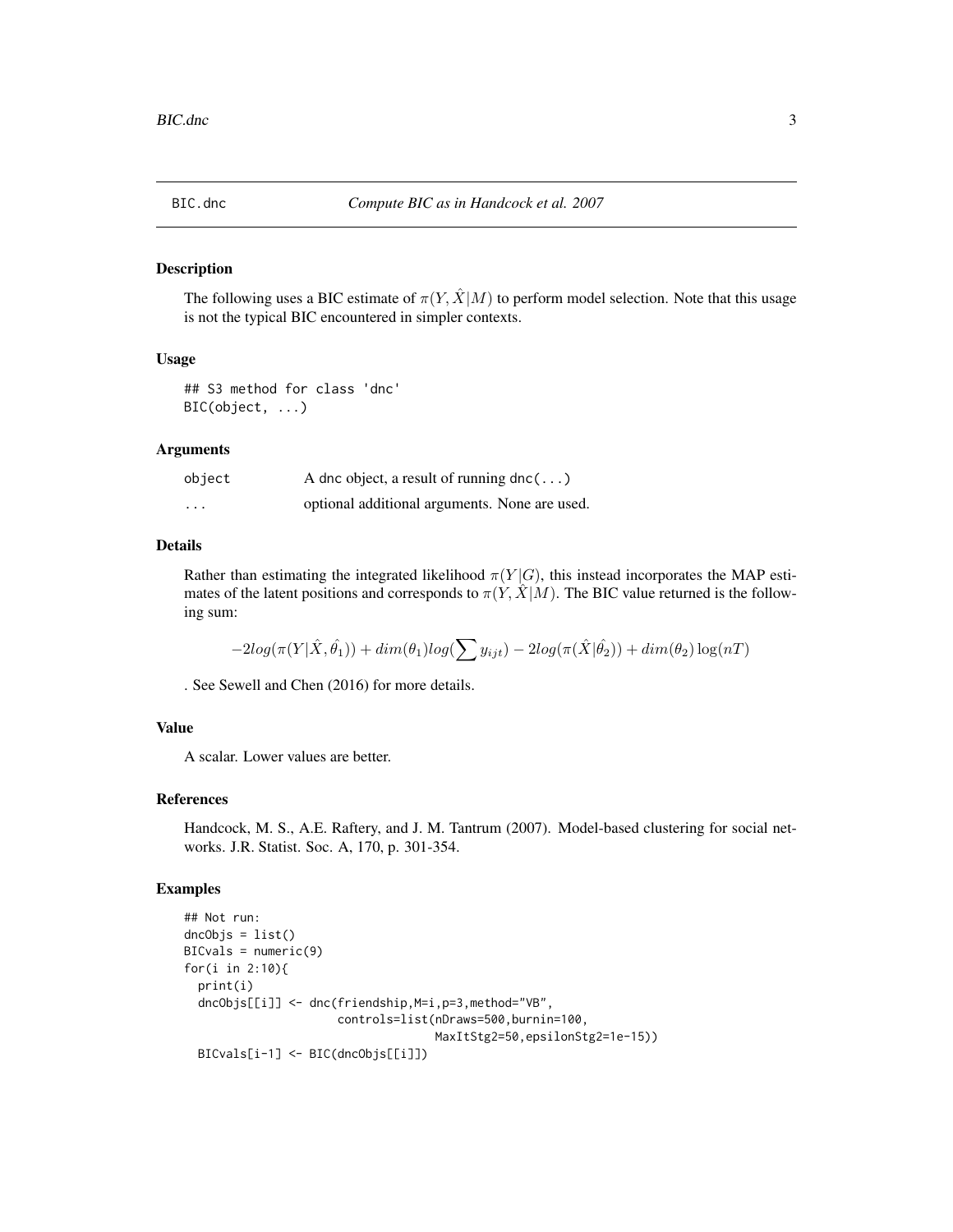<span id="page-2-0"></span>

#### Description

The following uses a BIC estimate of  $\pi(Y, \hat{X} | M)$  to perform model selection. Note that this usage is not the typical BIC encountered in simpler contexts.

## Usage

## S3 method for class 'dnc' BIC(object, ...)

#### **Arguments**

| object                  | A dnc object, a result of running dnc( $\ldots$ ) |
|-------------------------|---------------------------------------------------|
| $\cdot$ $\cdot$ $\cdot$ | optional additional arguments. None are used.     |

#### Details

Rather than estimating the integrated likelihood  $\pi(Y|G)$ , this instead incorporates the MAP estimates of the latent positions and corresponds to  $\pi(Y, \hat{X}|M)$ . The BIC value returned is the following sum:

$$
-2log(\pi(Y|\hat{X},\hat{\theta_1})) + dim(\theta_1)log(\sum y_{ijt}) - 2log(\pi(\hat{X}|\hat{\theta_2})) + dim(\theta_2)log(nT)
$$

. See Sewell and Chen (2016) for more details.

## Value

A scalar. Lower values are better.

#### References

Handcock, M. S., A.E. Raftery, and J. M. Tantrum (2007). Model-based clustering for social networks. J.R. Statist. Soc. A, 170, p. 301-354.

## Examples

```
## Not run:
dncObjs = list()
BICvals = numeric(9)for(i in 2:10){
  print(i)
  dncObjs[[i]] <- dnc(friendship,M=i,p=3,method="VB",
                      controls=list(nDraws=500,burnin=100,
                                    MaxItStg2=50,epsilonStg2=1e-15))
  BICvals[i-1] <- BIC(dncObjs[[i]])
```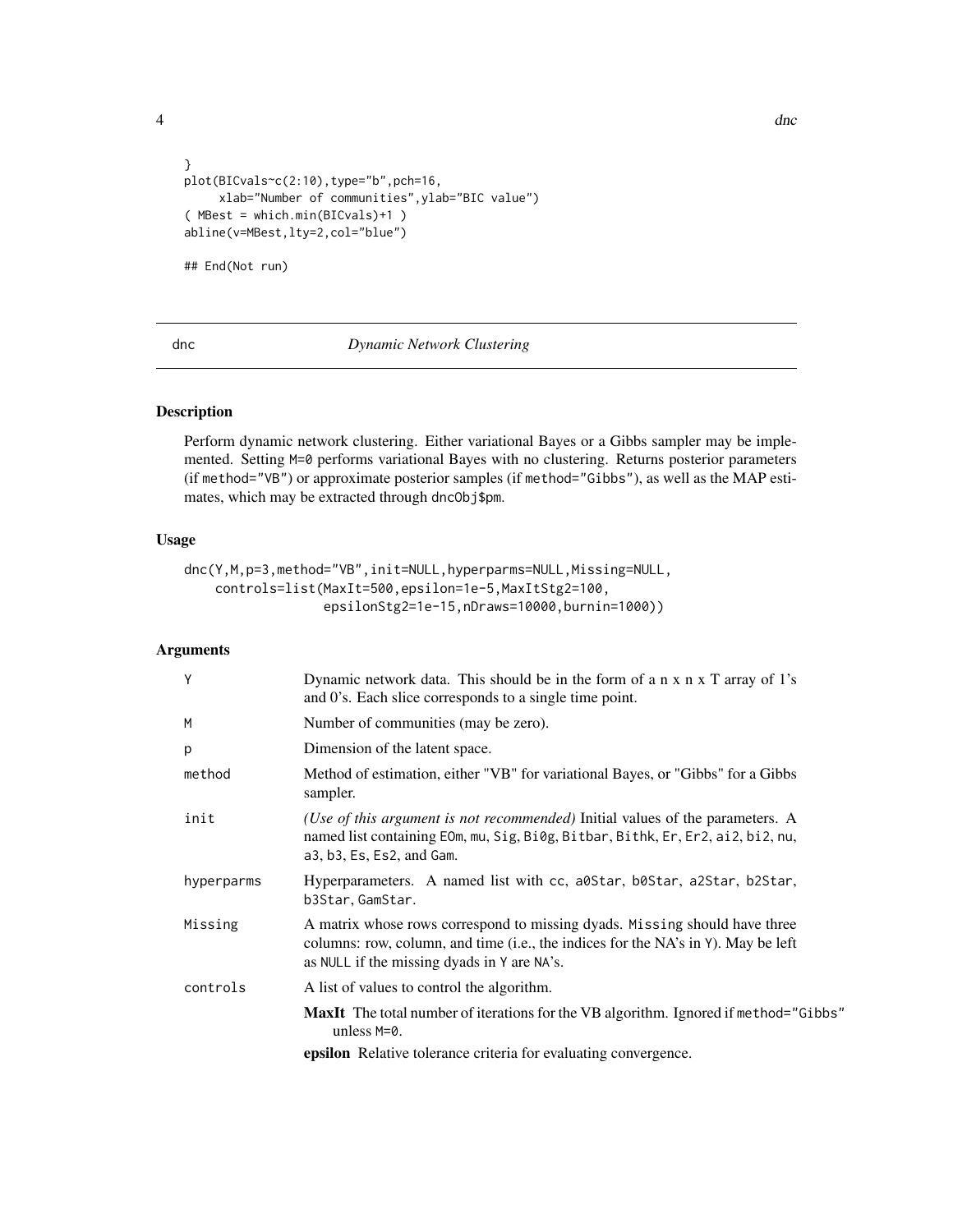<span id="page-3-0"></span>

```
}
plot(BICvals~c(2:10),type="b",pch=16,
     xlab="Number of communities",ylab="BIC value")
( MBest = which.min(BICvals)+1 )
abline(v=MBest,lty=2,col="blue")
## End(Not run)
```
#### dnc *Dynamic Network Clustering*

## Description

Perform dynamic network clustering. Either variational Bayes or a Gibbs sampler may be implemented. Setting M=0 performs variational Bayes with no clustering. Returns posterior parameters (if method="VB") or approximate posterior samples (if method="Gibbs"), as well as the MAP estimates, which may be extracted through dncObj\$pm.

## Usage

```
dnc(Y,M,p=3,method="VB",init=NULL,hyperparms=NULL,Missing=NULL,
   controls=list(MaxIt=500,epsilon=1e-5,MaxItStg2=100,
                  epsilonStg2=1e-15,nDraws=10000,burnin=1000))
```
## Arguments

| Y          | Dynamic network data. This should be in the form of a n x n x T array of 1's<br>and 0's. Each slice corresponds to a single time point.                                                                        |
|------------|----------------------------------------------------------------------------------------------------------------------------------------------------------------------------------------------------------------|
| M          | Number of communities (may be zero).                                                                                                                                                                           |
| p          | Dimension of the latent space.                                                                                                                                                                                 |
| method     | Method of estimation, either "VB" for variational Bayes, or "Gibbs" for a Gibbs<br>sampler.                                                                                                                    |
| init       | ( <i>Use of this argument is not recommended</i> ) Initial values of the parameters. A<br>named list containing EOm, mu, Sig, Bi0g, Bitbar, Bithk, Er, Er2, ai2, bi2, nu,<br>a3, b3, Es, Es2, and Gam.         |
| hyperparms | Hyperparameters. A named list with cc, a0Star, b0Star, a2Star, b2Star,<br>b3Star.GamStar.                                                                                                                      |
| Missing    | A matrix whose rows correspond to missing dyads. Missing should have three<br>columns: row, column, and time (i.e., the indices for the NA's in Y). May be left<br>as NULL if the missing dyads in Y are NA's. |
| controls   | A list of values to control the algorithm.                                                                                                                                                                     |
|            | <b>MaxIt</b> The total number of iterations for the VB algorithm. Ignored if method="Gibbs"<br>unless $M=0$ .                                                                                                  |
|            | <b>epsilon</b> Relative tolerance criteria for evaluating convergence.                                                                                                                                         |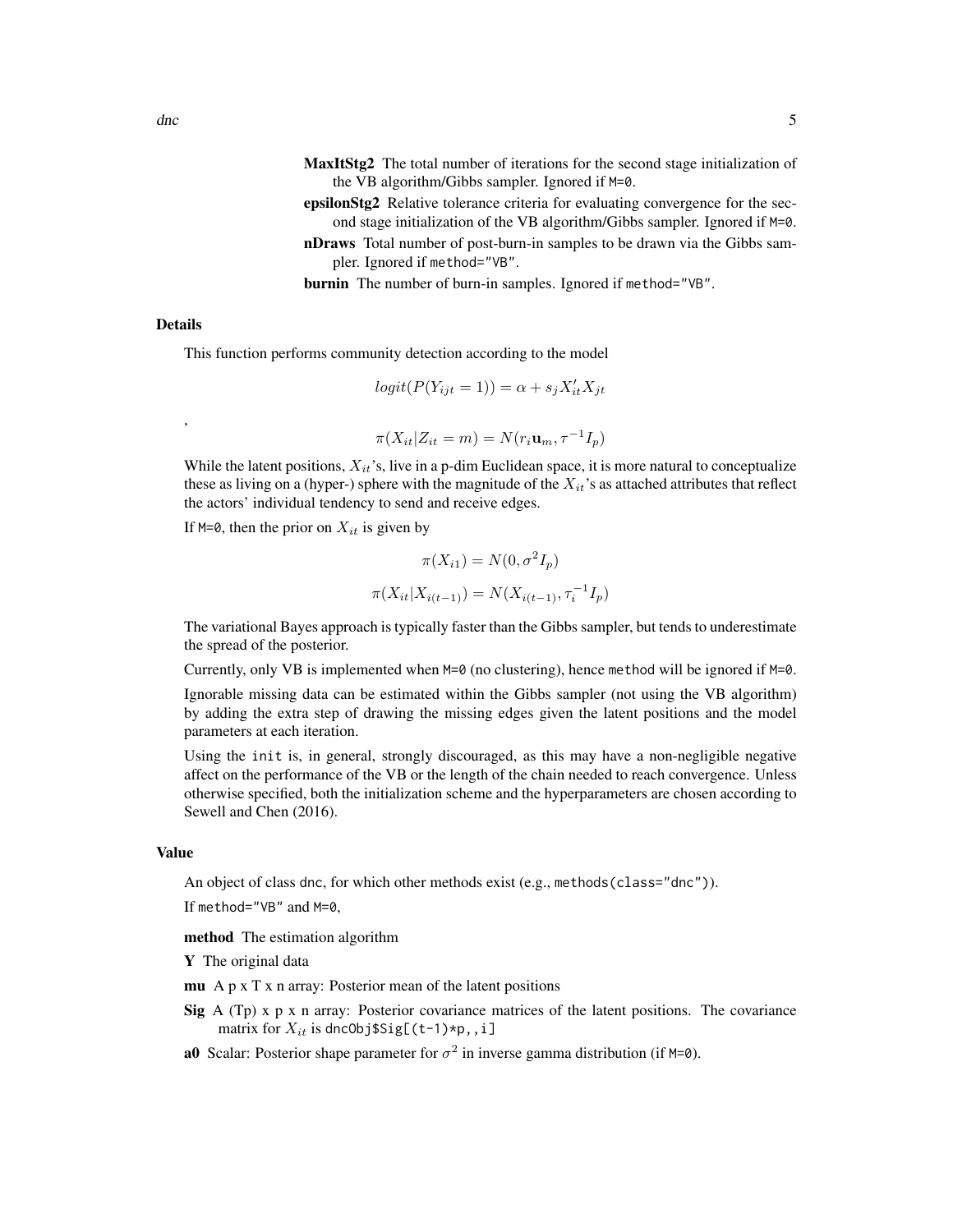- MaxItStg2 The total number of iterations for the second stage initialization of the VB algorithm/Gibbs sampler. Ignored if M=0.
- epsilonStg2 Relative tolerance criteria for evaluating convergence for the second stage initialization of the VB algorithm/Gibbs sampler. Ignored if M=0.
- nDraws Total number of post-burn-in samples to be drawn via the Gibbs sampler. Ignored if method="VB".

burnin The number of burn-in samples. Ignored if method="VB".

### Details

,

This function performs community detection according to the model

$$
logit(P(Y_{ijt} = 1)) = \alpha + s_j X'_{it} X_{jt}
$$

$$
\pi(X_{it}|Z_{it}=m)=N(r_i\mathbf{u}_m,\tau^{-1}I_p)
$$

While the latent positions,  $X_{it}$ 's, live in a p-dim Euclidean space, it is more natural to conceptualize these as living on a (hyper-) sphere with the magnitude of the  $X_{it}$ 's as attached attributes that reflect the actors' individual tendency to send and receive edges.

If M=0, then the prior on  $X_{it}$  is given by

$$
\pi(X_{i1}) = N(0, \sigma^2 I_p)
$$

$$
\pi(X_{it}|X_{i(t-1)}) = N(X_{i(t-1)}, \tau_i^{-1} I_p)
$$

The variational Bayes approach is typically faster than the Gibbs sampler, but tends to underestimate the spread of the posterior.

Currently, only VB is implemented when  $M=0$  (no clustering), hence method will be ignored if  $M=0$ .

Ignorable missing data can be estimated within the Gibbs sampler (not using the VB algorithm) by adding the extra step of drawing the missing edges given the latent positions and the model parameters at each iteration.

Using the init is, in general, strongly discouraged, as this may have a non-negligible negative affect on the performance of the VB or the length of the chain needed to reach convergence. Unless otherwise specified, both the initialization scheme and the hyperparameters are chosen according to Sewell and Chen (2016).

#### Value

An object of class dnc, for which other methods exist (e.g., methods(class="dnc")).

If method="VB" and M=0,

method The estimation algorithm

Y The original data

- mu A  $p \times T \times n$  array: Posterior mean of the latent positions
- Sig  $A(Tp)$  x p x n array: Posterior covariance matrices of the latent positions. The covariance matrix for  $X_{it}$  is dnc0bj\$Sig[(t-1)\*p,, i]
- **a0** Scalar: Posterior shape parameter for  $\sigma^2$  in inverse gamma distribution (if M=0).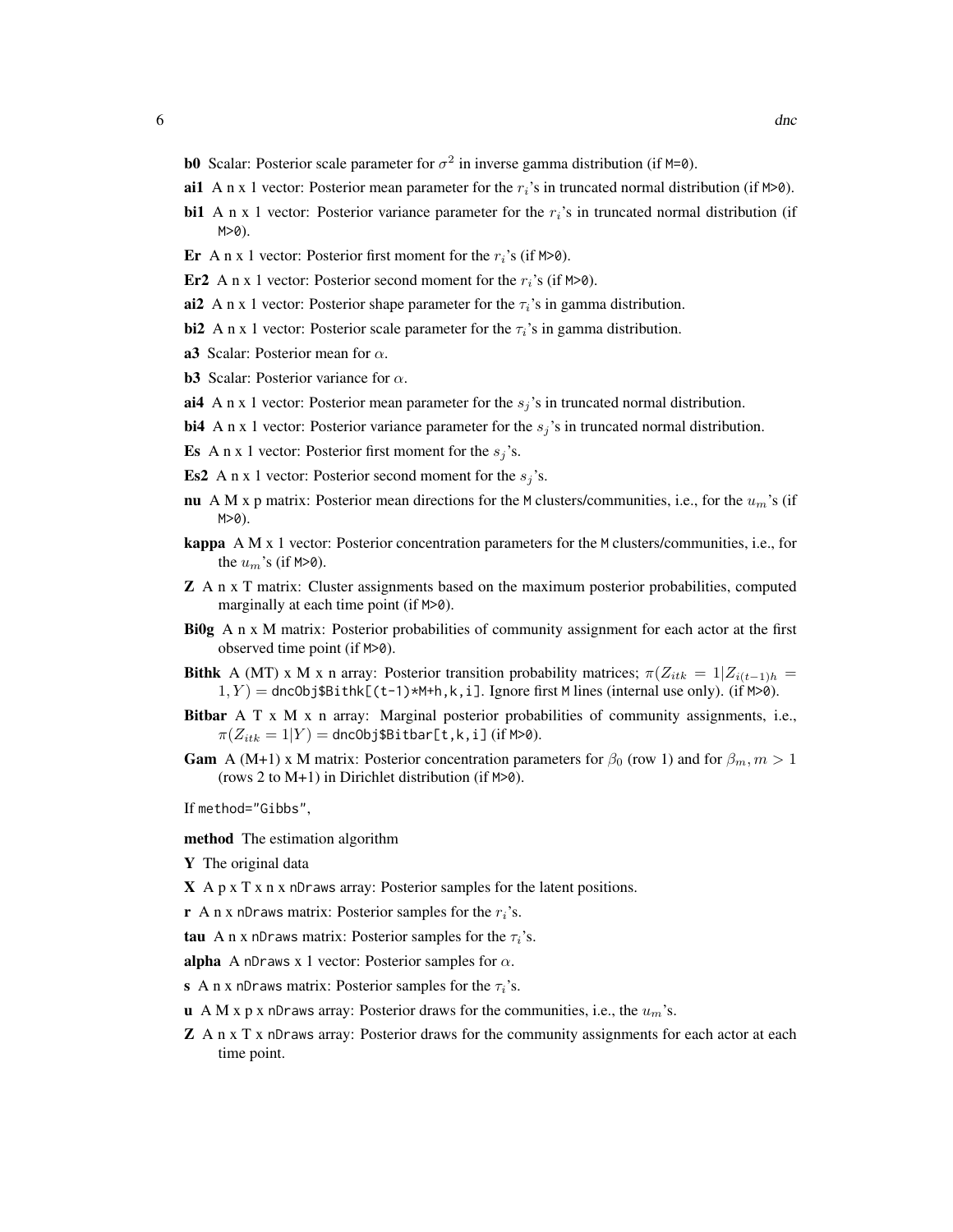- **b0** Scalar: Posterior scale parameter for  $\sigma^2$  in inverse gamma distribution (if M=0).
- ai1 A n x 1 vector: Posterior mean parameter for the  $r_i$ 's in truncated normal distribution (if M>0).
- bi1 A n x 1 vector: Posterior variance parameter for the  $r_i$ 's in truncated normal distribution (if  $M>0$ ).
- Er A n x 1 vector: Posterior first moment for the  $r_i$ 's (if M>0).
- Er2 A n x 1 vector: Posterior second moment for the  $r_i$ 's (if M>0).
- ai2 A n x 1 vector: Posterior shape parameter for the  $\tau_i$ 's in gamma distribution.
- bi2 A n x 1 vector: Posterior scale parameter for the  $\tau_i$ 's in gamma distribution.
- a3 Scalar: Posterior mean for  $\alpha$ .
- **b3** Scalar: Posterior variance for  $\alpha$ .
- ai4 A n x 1 vector: Posterior mean parameter for the  $s_j$ 's in truncated normal distribution.
- bi4 A n x 1 vector: Posterior variance parameter for the  $s_j$ 's in truncated normal distribution.
- **Es** A n x 1 vector: Posterior first moment for the  $s_j$ 's.
- **Es2** A n x 1 vector: Posterior second moment for the  $s_j$ 's.
- nu A M x p matrix: Posterior mean directions for the M clusters/communities, i.e., for the  $u_m$ 's (if  $M>0$ ).
- kappa A M x 1 vector: Posterior concentration parameters for the M clusters/communities, i.e., for the  $u_m$ 's (if M>0).
- Z A n x T matrix: Cluster assignments based on the maximum posterior probabilities, computed marginally at each time point (if M>0).
- **Bi0g** A n x M matrix: Posterior probabilities of community assignment for each actor at the first observed time point (if M>0).
- **Bithk** A (MT) x M x n array: Posterior transition probability matrices;  $\pi(Z_{itk} = 1|Z_{i(t-1)h}$  $1, Y$  = dnc0bj\$Bithk[(t-1)\*M+h,k,i]. Ignore first M lines (internal use only). (if M>0).
- Bitbar A T x M x n array: Marginal posterior probabilities of community assignments, i.e.,  $\pi(Z_{itk} = 1|Y) =$ dncObj\$Bitbar[t,k,i](if M>0).
- **Gam** A (M+1) x M matrix: Posterior concentration parameters for  $\beta_0$  (row 1) and for  $\beta_m$ ,  $m > 1$ (rows 2 to M+1) in Dirichlet distribution (if M>0).

If method="Gibbs",

- method The estimation algorithm
- Y The original data
- $X \land p \times T \times n \times n$  Draws array: Posterior samples for the latent positions.
- **r** A n x nDraws matrix: Posterior samples for the  $r_i$ 's.
- tau A n x nDraws matrix: Posterior samples for the  $\tau_i$ 's.

alpha A nDraws x 1 vector: Posterior samples for  $\alpha$ .

- s A n x nDraws matrix: Posterior samples for the  $\tau_i$ 's.
- u A M x p x nDraws array: Posterior draws for the communities, i.e., the  $u_m$ 's.
- **Z** A n x T x nDraws array: Posterior draws for the community assignments for each actor at each time point.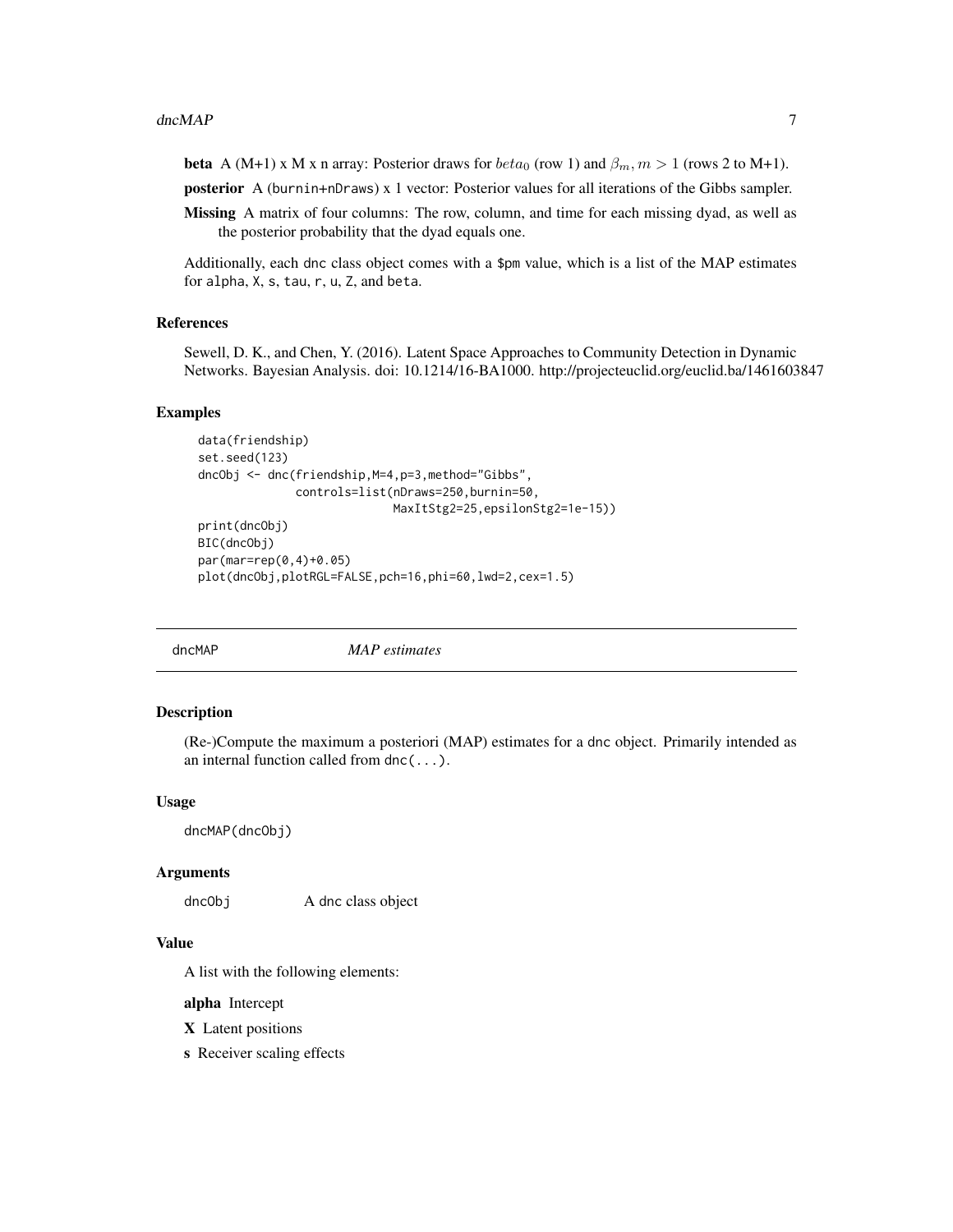<span id="page-6-0"></span>beta A (M+1) x M x n array: Posterior draws for  $beta_0$  (row 1) and  $\beta_m$ ,  $m > 1$  (rows 2 to M+1).

posterior A (burnin+nDraws) x 1 vector: Posterior values for all iterations of the Gibbs sampler.

Missing A matrix of four columns: The row, column, and time for each missing dyad, as well as the posterior probability that the dyad equals one.

Additionally, each dnc class object comes with a \$pm value, which is a list of the MAP estimates for alpha, X, s, tau, r, u, Z, and beta.

#### References

Sewell, D. K., and Chen, Y. (2016). Latent Space Approaches to Community Detection in Dynamic Networks. Bayesian Analysis. doi: 10.1214/16-BA1000. http://projecteuclid.org/euclid.ba/1461603847

#### Examples

```
data(friendship)
set.seed(123)
dncObj <- dnc(friendship,M=4,p=3,method="Gibbs",
              controls=list(nDraws=250,burnin=50,
                            MaxItStg2=25,epsilonStg2=1e-15))
print(dncObj)
BIC(dncObj)
par(mar=rep(0,4)+0.05)
plot(dncObj,plotRGL=FALSE,pch=16,phi=60,lwd=2,cex=1.5)
```
dncMAP *MAP estimates*

#### **Description**

(Re-)Compute the maximum a posteriori (MAP) estimates for a dnc object. Primarily intended as an internal function called from dnc(...).

#### Usage

dncMAP(dncObj)

#### Arguments

dncObj A dnc class object

#### Value

A list with the following elements:

alpha Intercept

X Latent positions

s Receiver scaling effects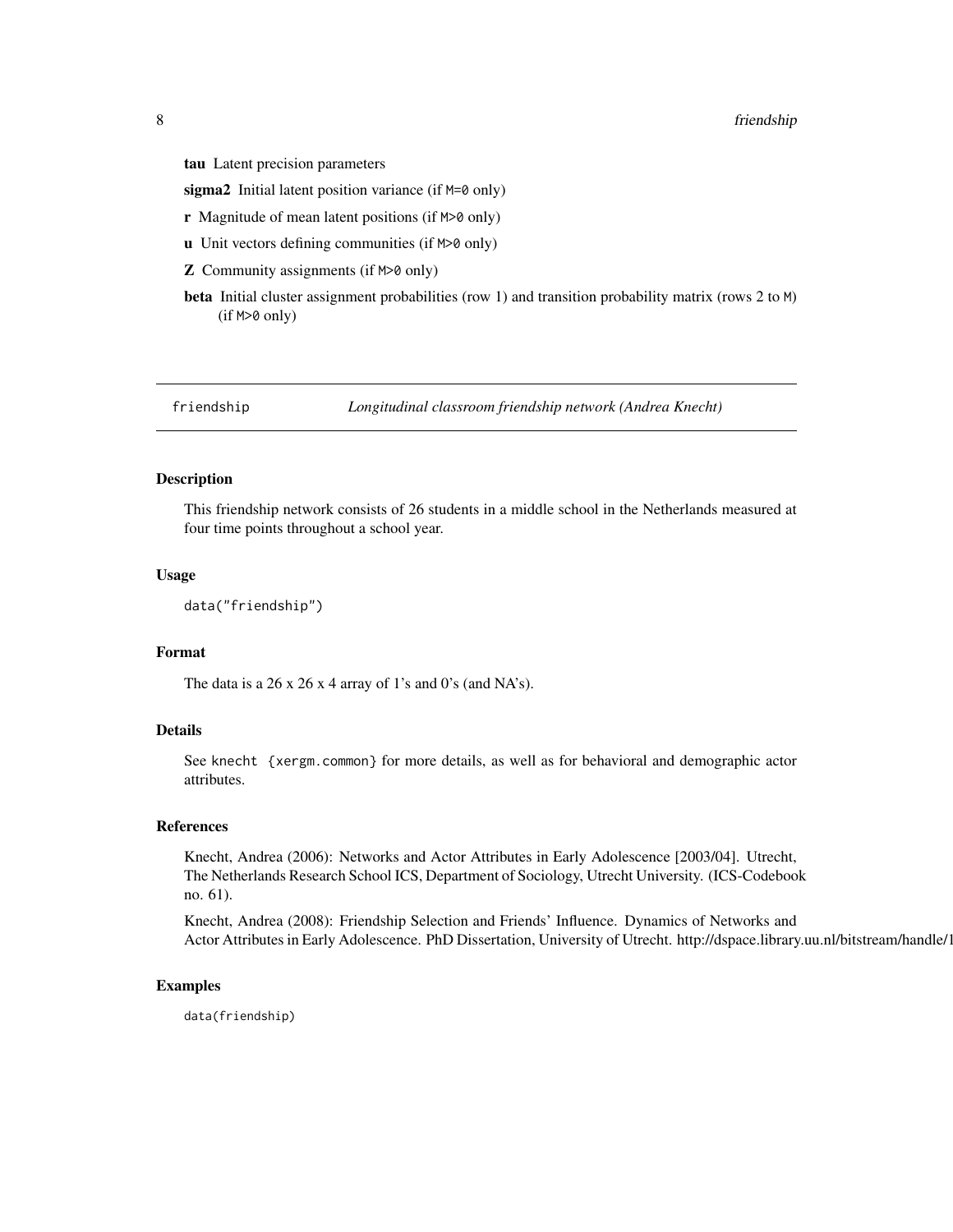<span id="page-7-0"></span>tau Latent precision parameters

sigma2 Initial latent position variance (if M=0 only)

- **r** Magnitude of mean latent positions (if  $M>0$  only)
- u Unit vectors defining communities (if M>0 only)
- Z Community assignments (if M>0 only)
- beta Initial cluster assignment probabilities (row 1) and transition probability matrix (rows 2 to M) (if M>0 only)

friendship *Longitudinal classroom friendship network (Andrea Knecht)*

## Description

This friendship network consists of 26 students in a middle school in the Netherlands measured at four time points throughout a school year.

#### Usage

```
data("friendship")
```
#### Format

The data is a 26 x 26 x 4 array of 1's and 0's (and NA's).

## Details

See knecht {xergm.common} for more details, as well as for behavioral and demographic actor attributes.

#### References

Knecht, Andrea (2006): Networks and Actor Attributes in Early Adolescence [2003/04]. Utrecht, The Netherlands Research School ICS, Department of Sociology, Utrecht University. (ICS-Codebook no. 61).

Knecht, Andrea (2008): Friendship Selection and Friends' Influence. Dynamics of Networks and Actor Attributes in Early Adolescence. PhD Dissertation, University of Utrecht. http://dspace.library.uu.nl/bitstream/handle/1

#### Examples

data(friendship)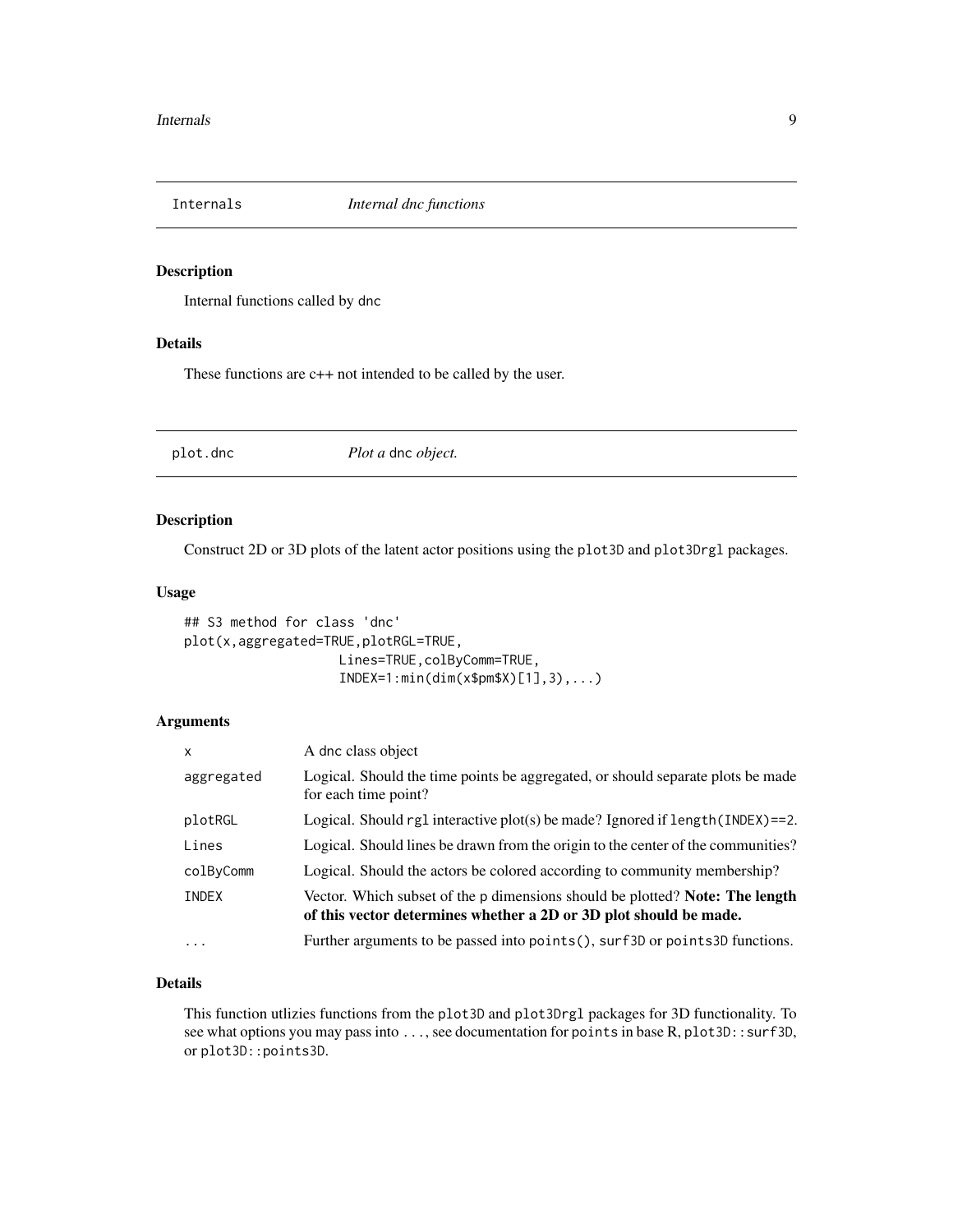<span id="page-8-0"></span>

#### Description

Internal functions called by dnc

## Details

These functions are c++ not intended to be called by the user.

plot.dnc *Plot a* dnc *object.*

## Description

Construct 2D or 3D plots of the latent actor positions using the plot3D and plot3Drgl packages.

#### Usage

```
## S3 method for class 'dnc'
plot(x,aggregated=TRUE,plotRGL=TRUE,
                    Lines=TRUE, colByComm=TRUE,
                    INDEX=1:min(dim(x$pm$X)[1],3),...)
```
#### Arguments

| X          | A dnc class object                                                                                                                                |
|------------|---------------------------------------------------------------------------------------------------------------------------------------------------|
| aggregated | Logical. Should the time points be aggregated, or should separate plots be made<br>for each time point?                                           |
| plotRGL    | Logical. Should rg1 interactive plot(s) be made? Ignored if $length(INDEX) == 2$ .                                                                |
| Lines      | Logical. Should lines be drawn from the origin to the center of the communities?                                                                  |
| colByComm  | Logical. Should the actors be colored according to community membership?                                                                          |
| INDEX      | Vector. Which subset of the p dimensions should be plotted? Note: The length<br>of this vector determines whether a 2D or 3D plot should be made. |
| $\ddots$   | Further arguments to be passed into points(), surf 3D or points 3D functions.                                                                     |

## Details

This function utlizies functions from the plot3D and plot3Drgl packages for 3D functionality. To see what options you may pass into ..., see documentation for points in base R, plot3D::surf3D, or plot3D::points3D.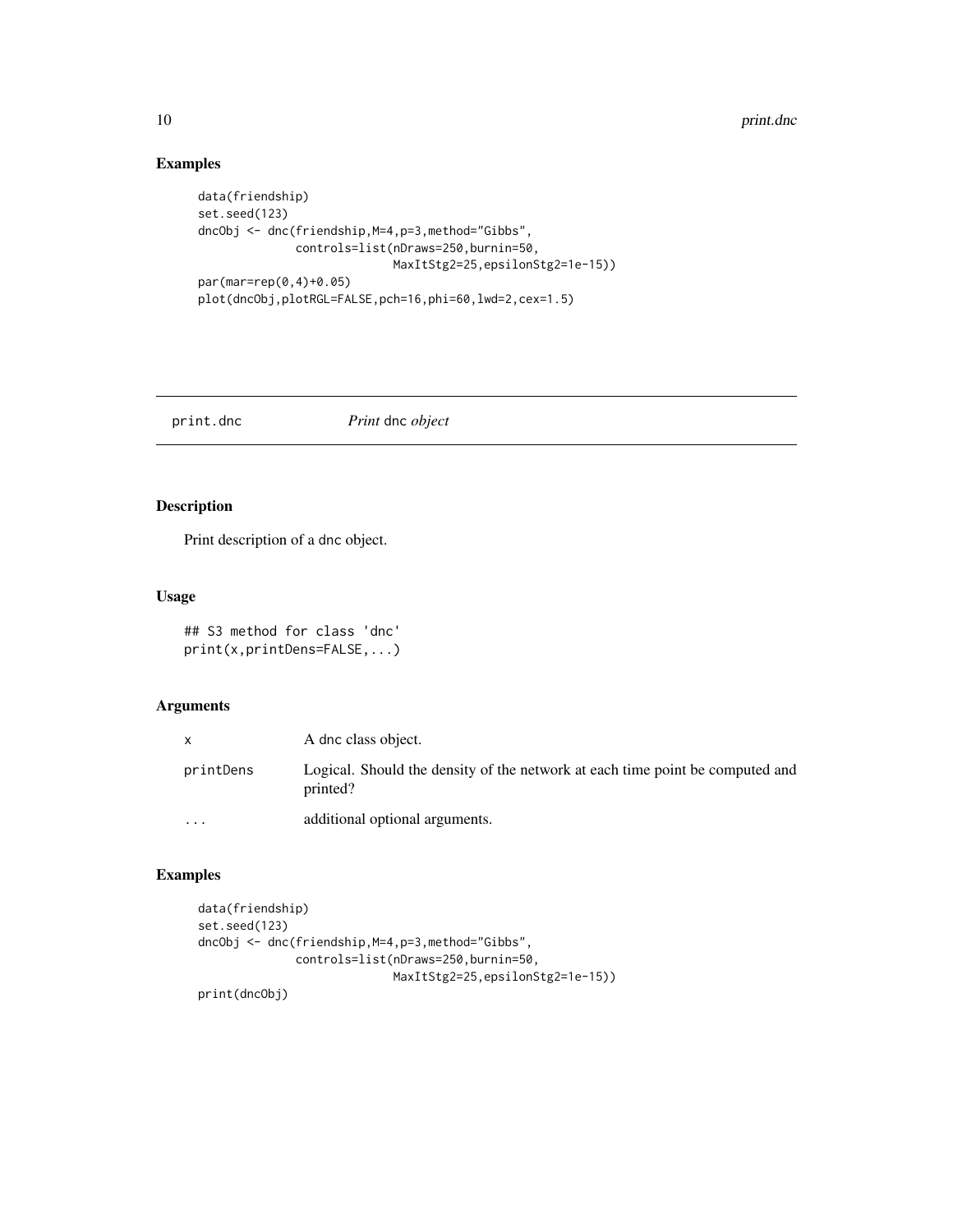## Examples

```
data(friendship)
set.seed(123)
dncObj <- dnc(friendship,M=4,p=3,method="Gibbs",
              controls=list(nDraws=250,burnin=50,
                            MaxItStg2=25,epsilonStg2=1e-15))
par(mar=rep(0,4)+0.05)
plot(dncObj,plotRGL=FALSE,pch=16,phi=60,lwd=2,cex=1.5)
```
print.dnc *Print* dnc *object*

## Description

Print description of a dnc object.

## Usage

## S3 method for class 'dnc' print(x,printDens=FALSE,...)

## Arguments

| X         | A dnc class object.                                                                       |
|-----------|-------------------------------------------------------------------------------------------|
| printDens | Logical. Should the density of the network at each time point be computed and<br>printed? |
| $\cdot$   | additional optional arguments.                                                            |

## Examples

```
data(friendship)
set.seed(123)
dncObj <- dnc(friendship,M=4,p=3,method="Gibbs",
              controls=list(nDraws=250,burnin=50,
                            MaxItStg2=25,epsilonStg2=1e-15))
print(dncObj)
```
<span id="page-9-0"></span>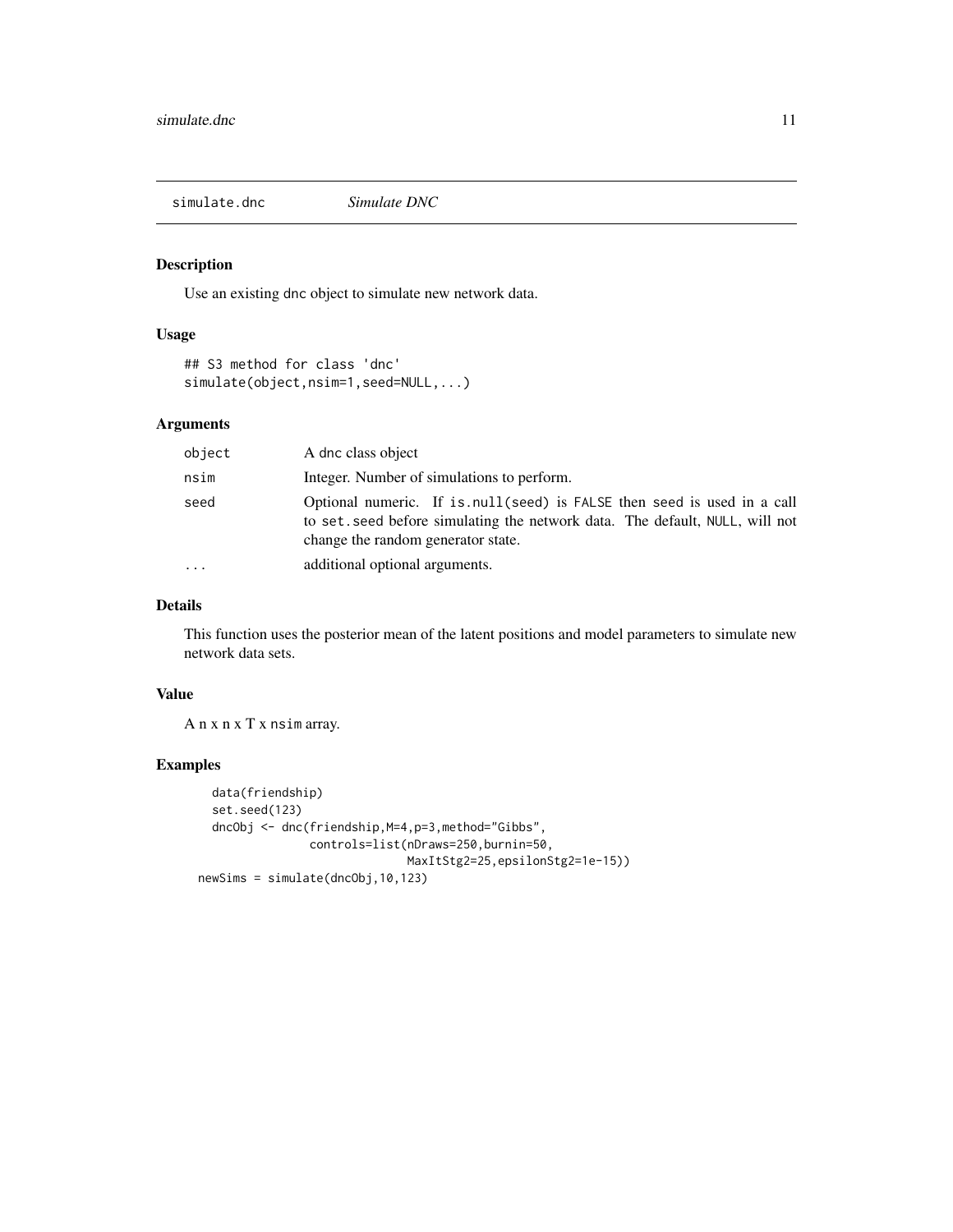<span id="page-10-0"></span>simulate.dnc *Simulate DNC*

## Description

Use an existing dnc object to simulate new network data.

## Usage

## S3 method for class 'dnc' simulate(object,nsim=1,seed=NULL,...)

## Arguments

| object                  | A dnc class object                                                                                                                                                                             |
|-------------------------|------------------------------------------------------------------------------------------------------------------------------------------------------------------------------------------------|
| nsim                    | Integer. Number of simulations to perform.                                                                                                                                                     |
| seed                    | Optional numeric. If is null (seed) is FALSE then seed is used in a call<br>to set, seed before simulating the network data. The default, NULL, will not<br>change the random generator state. |
| $\cdot$ $\cdot$ $\cdot$ | additional optional arguments.                                                                                                                                                                 |

## Details

This function uses the posterior mean of the latent positions and model parameters to simulate new network data sets.

## Value

A n x n x T x nsim array.

## Examples

```
data(friendship)
  set.seed(123)
  dncObj <- dnc(friendship,M=4,p=3,method="Gibbs",
                controls=list(nDraws=250,burnin=50,
                              MaxItStg2=25,epsilonStg2=1e-15))
newSims = simulate(dncObj,10,123)
```